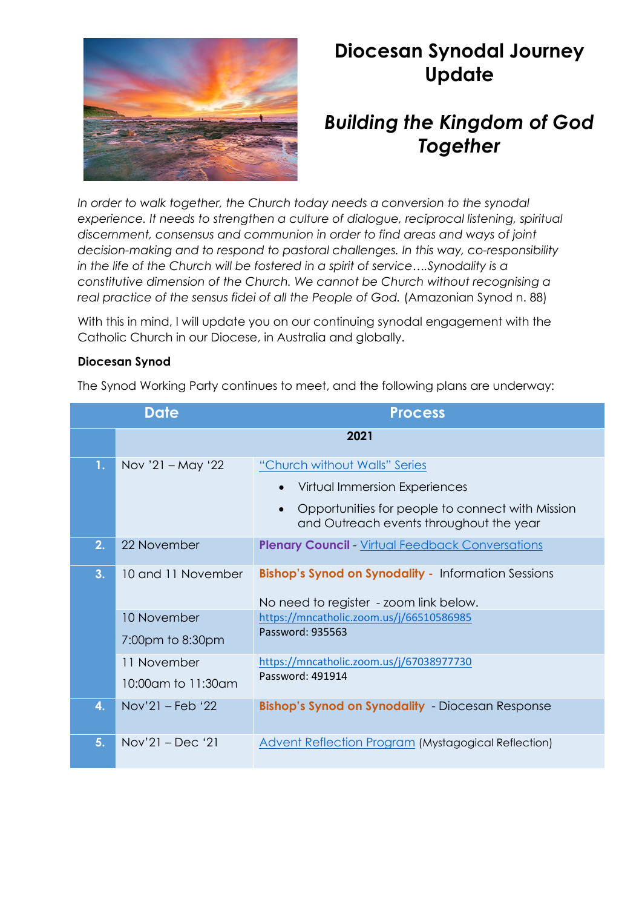

# **Diocesan Synodal Journey Update**

## *Building the Kingdom of God Together*

*In order to walk together, the Church today needs a conversion to the synodal experience. It needs to strengthen a culture of dialogue, reciprocal listening, spiritual discernment, consensus and communion in order to find areas and ways of joint decision-making and to respond to pastoral challenges. In this way, co-responsibility* in the life of the Church will be fostered in a spirit of service....Synodality is a *constitutive dimension of the Church. We cannot be Church without recognising a real practice of the sensus fidei of all the People of God.* (Amazonian Synod n. 88)

With this in mind, I will update you on our continuing synodal engagement with the Catholic Church in our Diocese, in Australia and globally.

### **Diocesan Synod**

The Synod Working Party continues to meet, and the following plans are underway:

| <b>Date</b> |                                   | <b>Process</b>                                                                                                                                                             |
|-------------|-----------------------------------|----------------------------------------------------------------------------------------------------------------------------------------------------------------------------|
|             |                                   | 2021                                                                                                                                                                       |
| 1.          | Nov '21 – May '22                 | "Church without Walls" Series<br>Virtual Immersion Experiences<br>Opportunities for people to connect with Mission<br>$\bullet$<br>and Outreach events throughout the year |
| 2.          | 22 November                       | <b>Plenary Council</b> Virtual Feedback Conversations                                                                                                                      |
| 3.          | 10 and 11 November<br>10 November | <b>Bishop's Synod on Synodality - Information Sessions</b><br>No need to register - zoom link below.                                                                       |
|             | 7:00pm to 8:30pm                  | https://mncatholic.zoom.us/j/66510586985<br>Password: 935563                                                                                                               |
|             | 11 November<br>10:00am to 11:30am | https://mncatholic.zoom.us/j/67038977730<br>Password: 491914                                                                                                               |
| 4.          | $Nov'21 - Feb'22$                 | <b>Bishop's Synod on Synodality</b> - Diocesan Response                                                                                                                    |
| 5.          | $Nov'21 - Dec '21$                | <b>Advent Reflection Program (Mystagogical Reflection)</b>                                                                                                                 |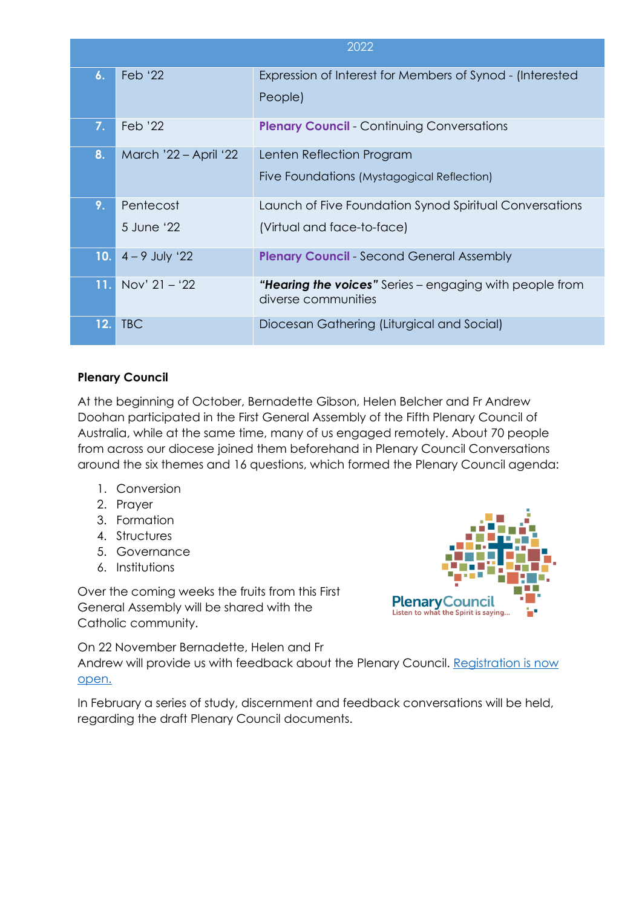|                    |                       | 2022                                                                           |
|--------------------|-----------------------|--------------------------------------------------------------------------------|
| $\boldsymbol{6}$ . | Feb '22               | Expression of Interest for Members of Synod - (Interested                      |
|                    |                       | People)                                                                        |
| 7.                 | Feb '22               | <b>Plenary Council</b> - Continuing Conversations                              |
| 8.                 | March '22 - April '22 | Lenten Reflection Program                                                      |
|                    |                       | Five Foundations (Mystagogical Reflection)                                     |
| 9.                 | Pentecost             | Launch of Five Foundation Synod Spiritual Conversations                        |
|                    | 5 June '22            | (Virtual and face-to-face)                                                     |
| 10.                | $4 - 9$ July '22      | <b>Plenary Council</b> Second General Assembly                                 |
| 11.                | Nov' $21 - 22$        | "Hearing the voices" Series - engaging with people from<br>diverse communities |
| 12.                | <b>TBC</b>            | Diocesan Gathering (Liturgical and Social)                                     |

### **Plenary Council**

At the beginning of October, Bernadette Gibson, Helen Belcher and Fr Andrew Doohan participated in the First General Assembly of the Fifth Plenary Council of Australia, while at the same time, many of us engaged remotely. About 70 people from across our diocese joined them beforehand in Plenary Council Conversations around the six themes and 16 questions, which formed the Plenary Council agenda:

- 1. Conversion
- 2. Prayer
- 3. Formation
- 4. Structures
- 5. Governance
- 6. Institutions

Over the coming weeks the fruits from this First General Assembly will be shared with the Catholic community.



On 22 November Bernadette, Helen and Fr Andrew will provide us with feedback about the Plenary Council. [Registration is now](https://www.eventbrite.com.au/e/plenary-council-virtual-feedback-conversations-tickets-202627834307)  [open.](https://www.eventbrite.com.au/e/plenary-council-virtual-feedback-conversations-tickets-202627834307)

In February a series of study, discernment and feedback conversations will be held, regarding the draft Plenary Council documents.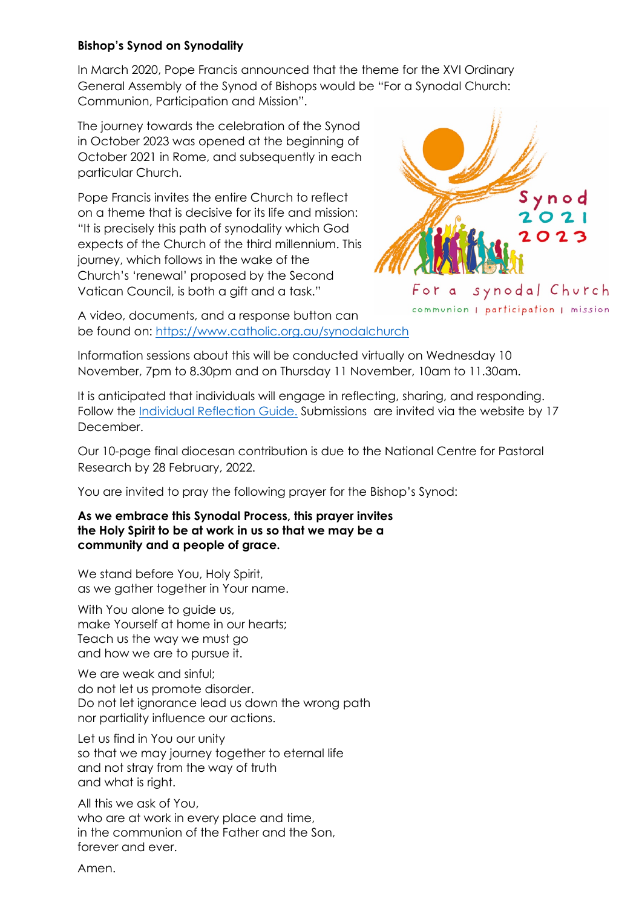#### **Bishop's Synod on Synodality**

In March 2020, Pope Francis announced that the theme for the XVI Ordinary General Assembly of the Synod of Bishops would be "For a Synodal Church: Communion, Participation and Mission".

The journey towards the celebration of the Synod in October 2023 was opened at the beginning of October 2021 in Rome, and subsequently in each particular Church.

Pope Francis invites the entire Church to reflect on a theme that is decisive for its life and mission: "It is precisely this path of synodality which God expects of the Church of the third millennium. This journey, which follows in the wake of the Church's 'renewal' proposed by the Second Vatican Council, is both a gift and a task."



A video, documents, and a response button can be found on: <https://www.catholic.org.au/synodalchurch>

Information sessions about this will be conducted virtually on Wednesday 10 November, 7pm to 8.30pm and on Thursday 11 November, 10am to 11.30am.

It is anticipated that individuals will engage in reflecting, sharing, and responding. Follow the [Individual Reflection Guide.](https://www.catholic.org.au/images/BishopsSynod_-_Individual_Reflection_Guide.pdf) Submissions are invited via the website by 17 December.

Our 10-page final diocesan contribution is due to the National Centre for Pastoral Research by 28 February, 2022.

You are invited to pray the following prayer for the Bishop's Synod:

#### **As we embrace this Synodal Process, this prayer invites the Holy Spirit to be at work in us so that we may be a community and a people of grace.**

We stand before You, Holy Spirit, as we gather together in Your name.

With You alone to quide us, make Yourself at home in our hearts; Teach us the way we must go and how we are to pursue it.

We are weak and sinful: do not let us promote disorder. Do not let ignorance lead us down the wrong path nor partiality influence our actions.

Let us find in You our unity so that we may journey together to eternal life and not stray from the way of truth and what is right.

All this we ask of You, who are at work in every place and time, in the communion of the Father and the Son, forever and ever.

Amen.